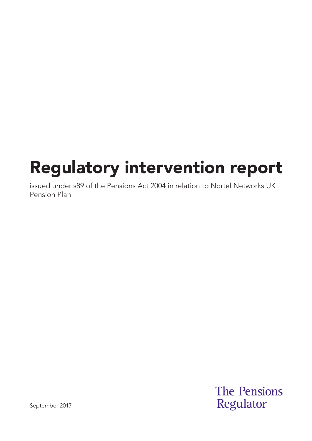# Regulatory intervention report

issued under s89 of the Pensions Act 2004 in relation to Nortel Networks UK Pension Plan

> **The Pensions** Regulator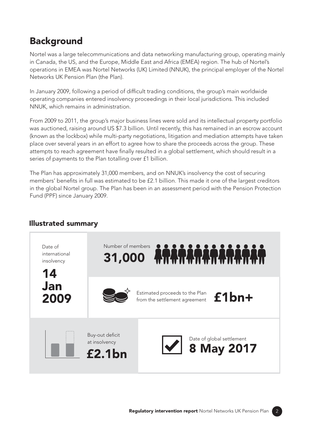### Background

Nortel was a large telecommunications and data networking manufacturing group, operating mainly in Canada, the US, and the Europe, Middle East and Africa (EMEA) region. The hub of Nortel's operations in EMEA was Nortel Networks (UK) Limited (NNUK), the principal employer of the Nortel Networks UK Pension Plan (the Plan).

In January 2009, following a period of difficult trading conditions, the group's main worldwide operating companies entered insolvency proceedings in their local jurisdictions. This included NNUK, which remains in administration.

From 2009 to 2011, the group's major business lines were sold and its intellectual property portfolio was auctioned, raising around US \$7.3 billion. Until recently, this has remained in an escrow account (known as the lockbox) while multi-party negotiations, litigation and mediation attempts have taken place over several years in an effort to agree how to share the proceeds across the group. These attempts to reach agreement have finally resulted in a global settlement, which should result in a series of payments to the Plan totalling over £1 billion.

The Plan has approximately 31,000 members, and on NNUK's insolvency the cost of securing members' benefits in full was estimated to be £2.1 billion. This made it one of the largest creditors in the global Nortel group. The Plan has been in an assessment period with the Pension Protection Fund (PPF) since January 2009.



### Illustrated summary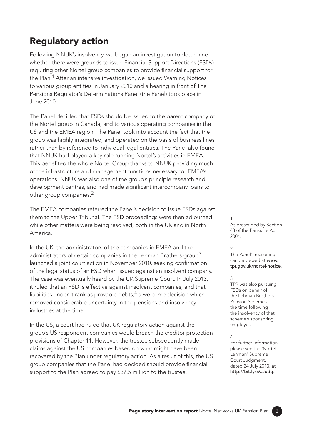### Regulatory action

Following NNUK's insolvency, we began an investigation to determine whether there were grounds to issue Financial Support Directions (FSDs) requiring other Nortel group companies to provide financial support for the Plan.<sup>1</sup> After an intensive investigation, we issued Warning Notices to various group entities in January 2010 and a hearing in front of The Pensions Regulator's Determinations Panel (the Panel) took place in June 2010.

The Panel decided that FSDs should be issued to the parent company of the Nortel group in Canada, and to various operating companies in the US and the EMEA region. The Panel took into account the fact that the group was highly integrated, and operated on the basis of business lines rather than by reference to individual legal entities. The Panel also found that NNUK had played a key role running Nortel's activities in EMEA. This benefited the whole Nortel Group thanks to NNUK providing much of the infrastructure and management functions necessary for EMEA's operations. NNUK was also one of the group's principle research and development centres, and had made significant intercompany loans to other group companies.2

The EMEA companies referred the Panel's decision to issue FSDs against them to the Upper Tribunal. The FSD proceedings were then adjourned while other matters were being resolved, both in the UK and in North America.

In the UK, the administrators of the companies in EMEA and the administrators of certain companies in the Lehman Brothers group<sup>3</sup> launched a joint court action in November 2010, seeking confirmation of the legal status of an FSD when issued against an insolvent company. The case was eventually heard by the UK Supreme Court. In July 2013, it ruled that an FSD is effective against insolvent companies, and that liabilities under it rank as provable debts, $4$  a welcome decision which removed considerable uncertainty in the pensions and insolvency industries at the time.

In the US, a court had ruled that UK regulatory action against the group's US respondent companies would breach the creditor protection provisions of Chapter 11. However, the trustee subsequently made claims against the US companies based on what might have been recovered by the Plan under regulatory action. As a result of this, the US group companies that the Panel had decided should provide financial support to the Plan agreed to pay \$37.5 million to the trustee.

1 As prescribed by Section 43 of the Pensions Act 2004.

#### $\overline{2}$

The Panel's reasoning can be viewed at [www.](http://www.tpr.gov.uk/nortel-notice) [tpr.gov.uk/nortel-notice](http://www.tpr.gov.uk/nortel-notice).

#### 3

TPR was also pursuing FSDs on behalf of the Lehman Brothers Pension Scheme at the time following the insolvency of that scheme's sponsoring employer.

#### 4

For further information please see the 'Nortel Lehman' Supreme Court Judgment, dated 24 July 2013, at <http://bit.ly/SCJudg>.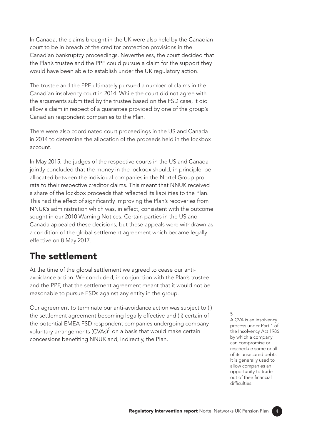In Canada, the claims brought in the UK were also held by the Canadian court to be in breach of the creditor protection provisions in the Canadian bankruptcy proceedings. Nevertheless, the court decided that the Plan's trustee and the PPF could pursue a claim for the support they would have been able to establish under the UK regulatory action.

The trustee and the PPF ultimately pursued a number of claims in the Canadian insolvency court in 2014. While the court did not agree with the arguments submitted by the trustee based on the FSD case, it did allow a claim in respect of a guarantee provided by one of the group's Canadian respondent companies to the Plan.

There were also coordinated court proceedings in the US and Canada in 2014 to determine the allocation of the proceeds held in the lockbox account.

In May 2015, the judges of the respective courts in the US and Canada jointly concluded that the money in the lockbox should, in principle, be allocated between the individual companies in the Nortel Group pro rata to their respective creditor claims. This meant that NNUK received a share of the lockbox proceeds that reflected its liabilities to the Plan. This had the effect of significantly improving the Plan's recoveries from NNUK's administration which was, in effect, consistent with the outcome sought in our 2010 Warning Notices. Certain parties in the US and Canada appealed these decisions, but these appeals were withdrawn as a condition of the global settlement agreement which became legally effective on 8 May 2017.

### The settlement

At the time of the global settlement we agreed to cease our antiavoidance action. We concluded, in conjunction with the Plan's trustee and the PPF, that the settlement agreement meant that it would not be reasonable to pursue FSDs against any entity in the group.

Our agreement to terminate our anti-avoidance action was subject to (i) the settlement agreement becoming legally effective and (ii) certain of the potential EMEA FSD respondent companies undergoing company voluntary arrangements (CVAs)<sup>5</sup> on a basis that would make certain concessions benefiting NNUK and, indirectly, the Plan.

5 A CVA is an insolvency process under Part 1 of the Insolvency Act 1986 by which a company can compromise or reschedule some or all of its unsecured debts. It is generally used to allow companies an opportunity to trade out of their financial difficulties.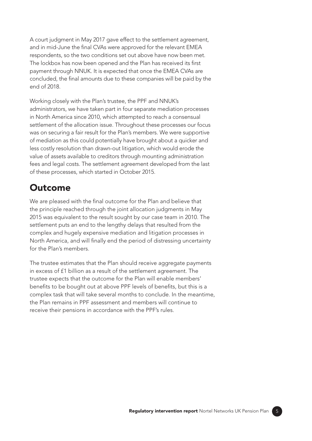A court judgment in May 2017 gave effect to the settlement agreement, and in mid-June the final CVAs were approved for the relevant EMEA respondents, so the two conditions set out above have now been met. The lockbox has now been opened and the Plan has received its first payment through NNUK. It is expected that once the EMEA CVAs are concluded, the final amounts due to these companies will be paid by the end of 2018.

Working closely with the Plan's trustee, the PPF and NNUK's administrators, we have taken part in four separate mediation processes in North America since 2010, which attempted to reach a consensual settlement of the allocation issue. Throughout these processes our focus was on securing a fair result for the Plan's members. We were supportive of mediation as this could potentially have brought about a quicker and less costly resolution than drawn-out litigation, which would erode the value of assets available to creditors through mounting administration fees and legal costs. The settlement agreement developed from the last of these processes, which started in October 2015.

### **Outcome**

We are pleased with the final outcome for the Plan and believe that the principle reached through the joint allocation judgments in May 2015 was equivalent to the result sought by our case team in 2010. The settlement puts an end to the lengthy delays that resulted from the complex and hugely expensive mediation and litigation processes in North America, and will finally end the period of distressing uncertainty for the Plan's members.

The trustee estimates that the Plan should receive aggregate payments in excess of £1 billion as a result of the settlement agreement. The trustee expects that the outcome for the Plan will enable members' benefits to be bought out at above PPF levels of benefits, but this is a complex task that will take several months to conclude. In the meantime, the Plan remains in PPF assessment and members will continue to receive their pensions in accordance with the PPF's rules.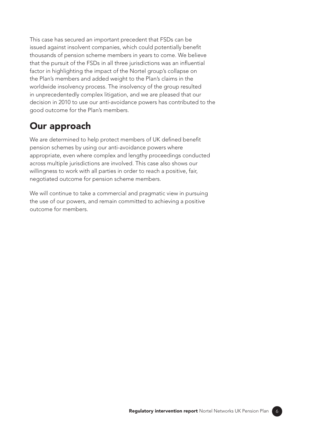This case has secured an important precedent that FSDs can be issued against insolvent companies, which could potentially benefit thousands of pension scheme members in years to come. We believe that the pursuit of the FSDs in all three jurisdictions was an influential factor in highlighting the impact of the Nortel group's collapse on the Plan's members and added weight to the Plan's claims in the worldwide insolvency process. The insolvency of the group resulted in unprecedentedly complex litigation, and we are pleased that our decision in 2010 to use our anti-avoidance powers has contributed to the good outcome for the Plan's members.

### Our approach

We are determined to help protect members of UK defined benefit pension schemes by using our anti-avoidance powers where appropriate, even where complex and lengthy proceedings conducted across multiple jurisdictions are involved. This case also shows our willingness to work with all parties in order to reach a positive, fair, negotiated outcome for pension scheme members.

We will continue to take a commercial and pragmatic view in pursuing the use of our powers, and remain committed to achieving a positive outcome for members.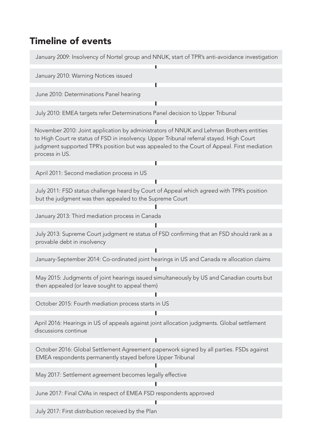## Timeline of events

| January 2009: Insolvency of Nortel group and NNUK, start of TPR's anti-avoidance investigation                                                                                                                                                                                                      |
|-----------------------------------------------------------------------------------------------------------------------------------------------------------------------------------------------------------------------------------------------------------------------------------------------------|
| January 2010: Warning Notices issued                                                                                                                                                                                                                                                                |
| June 2010: Determinations Panel hearing                                                                                                                                                                                                                                                             |
| July 2010: EMEA targets refer Determinations Panel decision to Upper Tribunal                                                                                                                                                                                                                       |
| November 2010: Joint application by administrators of NNUK and Lehman Brothers entities<br>to High Court re status of FSD in insolvency. Upper Tribunal referral stayed. High Court<br>judgment supported TPR's position but was appealed to the Court of Appeal. First mediation<br>process in US. |
| April 2011: Second mediation process in US                                                                                                                                                                                                                                                          |
| July 2011: FSD status challenge heard by Court of Appeal which agreed with TPR's position<br>but the judgment was then appealed to the Supreme Court                                                                                                                                                |
| January 2013: Third mediation process in Canada                                                                                                                                                                                                                                                     |
| July 2013: Supreme Court judgment re status of FSD confirming that an FSD should rank as a<br>provable debt in insolvency                                                                                                                                                                           |
| January-September 2014: Co-ordinated joint hearings in US and Canada re allocation claims                                                                                                                                                                                                           |
| May 2015: Judgments of joint hearings issued simultaneously by US and Canadian courts but<br>then appealed (or leave sought to appeal them)                                                                                                                                                         |
| October 2015: Fourth mediation process starts in US                                                                                                                                                                                                                                                 |
| April 2016: Hearings in US of appeals against joint allocation judgments. Global settlement<br>discussions continue                                                                                                                                                                                 |
| October 2016: Global Settlement Agreement paperwork signed by all parties. FSDs against<br>EMEA respondents permanently stayed before Upper Tribunal                                                                                                                                                |
| May 2017: Settlement agreement becomes legally effective                                                                                                                                                                                                                                            |
| June 2017: Final CVAs in respect of EMEA FSD respondents approved                                                                                                                                                                                                                                   |
| July 2017: First distribution received by the Plan                                                                                                                                                                                                                                                  |